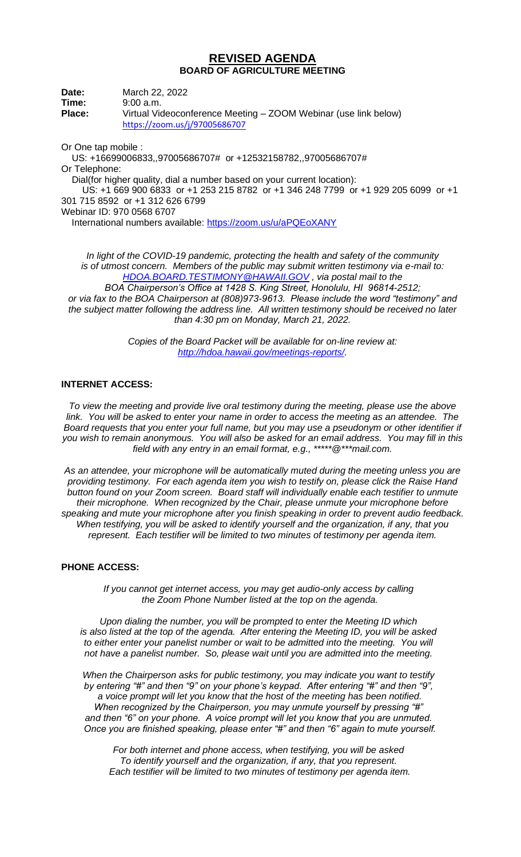## **REVISED AGENDA BOARD OF AGRICULTURE MEETING**

**Date:** March 22, 2022 **Time:** 9:00 a.m. **Place:** Virtual Videoconference Meeting – ZOOM Webinar (use link below) <https://zoom.us/j/97005686707> Or One tap mobile :

 US: +16699006833,,97005686707# or +12532158782,,97005686707# Or Telephone: Dial(for higher quality, dial a number based on your current location): US: +1 669 900 6833 or +1 253 215 8782 or +1 346 248 7799 or +1 929 205 6099 or +1 301 715 8592 or +1 312 626 6799 Webinar ID: 970 0568 6707 International numbers available:<https://zoom.us/u/aPQEoXANY>

*In light of the COVID-19 pandemic, protecting the health and safety of the community is of utmost concern. Members of the public may submit written testimony via e-mail to: [HDOA.BOARD.TESTIMONY@HAWAII.GOV](mailto:HDOA.BOARD.TESTIMONY@HAWAII.GOV) , via postal mail to the BOA Chairperson's Office at 1428 S. King Street, Honolulu, HI 96814-2512; or via fax to the BOA Chairperson at (808)973-9613. Please include the word "testimony" and the subject matter following the address line. All written testimony should be received no later than 4:30 pm on Monday, March 21, 2022.*

> *Copies of the Board Packet will be available for on-line review at: [http://hdoa.hawaii.gov/meetings-reports/.](http://hdoa.hawaii.gov/meetings-reports/)*

## **INTERNET ACCESS:**

*To view the meeting and provide live oral testimony during the meeting, please use the above link. You will be asked to enter your name in order to access the meeting as an attendee. The Board requests that you enter your full name, but you may use a pseudonym or other identifier if you wish to remain anonymous. You will also be asked for an email address. You may fill in this field with any entry in an email format, e.g., \*\*\*\*\*@\*\*\*mail.com.*

*As an attendee, your microphone will be automatically muted during the meeting unless you are providing testimony. For each agenda item you wish to testify on, please click the Raise Hand button found on your Zoom screen. Board staff will individually enable each testifier to unmute their microphone. When recognized by the Chair, please unmute your microphone before speaking and mute your microphone after you finish speaking in order to prevent audio feedback. When testifying, you will be asked to identify yourself and the organization, if any, that you represent. Each testifier will be limited to two minutes of testimony per agenda item.*

## **PHONE ACCESS:**

*If you cannot get internet access, you may get audio-only access by calling the Zoom Phone Number listed at the top on the agenda.*

*Upon dialing the number, you will be prompted to enter the Meeting ID which is also listed at the top of the agenda. After entering the Meeting ID, you will be asked to either enter your panelist number or wait to be admitted into the meeting. You will not have a panelist number. So, please wait until you are admitted into the meeting.*

*When the Chairperson asks for public testimony, you may indicate you want to testify by entering "#" and then "9" on your phone's keypad. After entering "#" and then "9", a voice prompt will let you know that the host of the meeting has been notified. When recognized by the Chairperson, you may unmute yourself by pressing "#" and then "6" on your phone. A voice prompt will let you know that you are unmuted. Once you are finished speaking, please enter "#" and then "6" again to mute yourself.*

*For both internet and phone access, when testifying, you will be asked To identify yourself and the organization, if any, that you represent. Each testifier will be limited to two minutes of testimony per agenda item.*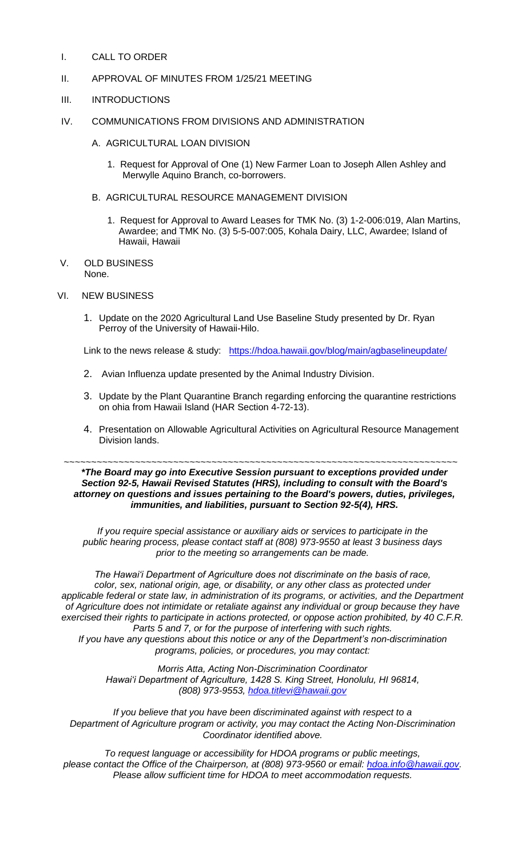- I. CALL TO ORDER
- II. APPROVAL OF MINUTES FROM 1/25/21 MEETING
- III. INTRODUCTIONS
- IV. COMMUNICATIONS FROM DIVISIONS AND ADMINISTRATION
	- A. AGRICULTURAL LOAN DIVISION
		- 1. Request for Approval of One (1) New Farmer Loan to Joseph Allen Ashley and Merwylle Aquino Branch, co-borrowers.
	- B. AGRICULTURAL RESOURCE MANAGEMENT DIVISION
		- 1. Request for Approval to Award Leases for TMK No. (3) 1-2-006:019, Alan Martins, Awardee; and TMK No. (3) 5-5-007:005, Kohala Dairy, LLC, Awardee; Island of Hawaii, Hawaii
- V. OLD BUSINESS None.
- VI. NEW BUSINESS
	- 1. Update on the 2020 Agricultural Land Use Baseline Study presented by Dr. Ryan Perroy of the University of Hawaii-Hilo.

Link to the news release & study: <https://hdoa.hawaii.gov/blog/main/agbaselineupdate/>

- 2. Avian Influenza update presented by the Animal Industry Division.
- 3. Update by the Plant Quarantine Branch regarding enforcing the quarantine restrictions on ohia from Hawaii Island (HAR Section 4-72-13).
- 4. Presentation on Allowable Agricultural Activities on Agricultural Resource Management Division lands.

~~~~~~~~~~~~~~~~~~~~~~~~~~~~~~~~~~~~~~~~~~~~~~~~~~~~~~~~~~~~~~~~~~~~~~~~ *\*The Board may go into Executive Session pursuant to exceptions provided under Section 92-5, Hawaii Revised Statutes (HRS), including to consult with the Board's attorney on questions and issues pertaining to the Board's powers, duties, privileges, immunities, and liabilities, pursuant to Section 92-5(4), HRS.*

*If you require special assistance or auxiliary aids or services to participate in the public hearing process, please contact staff at (808) 973-9550 at least 3 business days prior to the meeting so arrangements can be made.*

*The Hawai'i Department of Agriculture does not discriminate on the basis of race, color, sex, national origin, age, or disability, or any other class as protected under applicable federal or state law, in administration of its programs, or activities, and the Department of Agriculture does not intimidate or retaliate against any individual or group because they have exercised their rights to participate in actions protected, or oppose action prohibited, by 40 C.F.R. Parts 5 and 7, or for the purpose of interfering with such rights. If you have any questions about this notice or any of the Department's non-discrimination* 

*programs, policies, or procedures, you may contact: Morris Atta, Acting Non-Discrimination Coordinator*

*Hawai'i Department of Agriculture, 1428 S. King Street, Honolulu, HI 96814, (808) 973-9553, [hdoa.titlevi@hawaii.gov](mailto:hdoa.titlevi@hawaii.gov)*

*If you believe that you have been discriminated against with respect to a Department of Agriculture program or activity, you may contact the Acting Non-Discrimination Coordinator identified above.*

*To request language or accessibility for HDOA programs or public meetings, please contact the Office of the Chairperson, at (808) 973-9560 or email: [hdoa.info@hawaii.gov.](mailto:hdoa.info@hawaii.gov) Please allow sufficient time for HDOA to meet accommodation requests.*